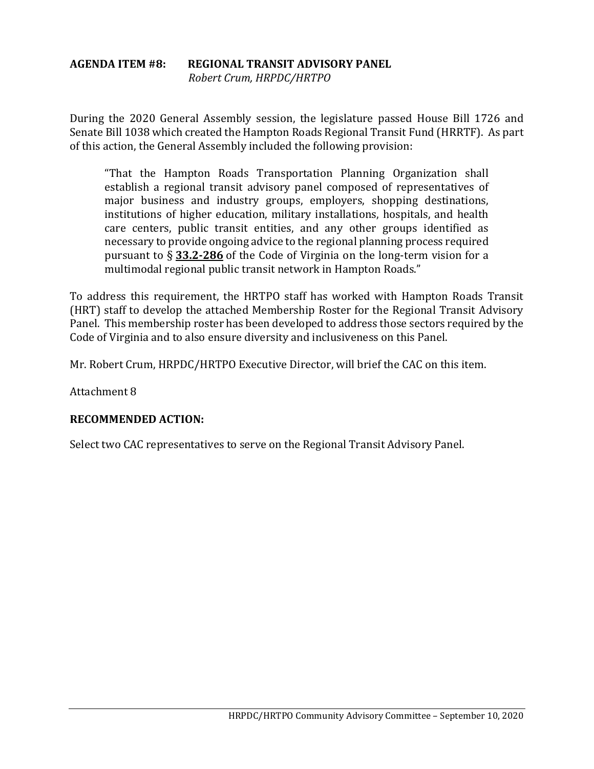#### **AGENDA ITEM #8: REGIONAL TRANSIT ADVISORY PANEL** *Robert Crum, HRPDC/HRTPO*

During the 2020 General Assembly session, the legislature passed House Bill 1726 and Senate Bill 1038 which created the Hampton Roads Regional Transit Fund (HRRTF). As part of this action, the General Assembly included the following provision:

"That the Hampton Roads Transportation Planning Organization shall establish a regional transit advisory panel composed of representatives of major business and industry groups, employers, shopping destinations, institutions of higher education, military installations, hospitals, and health care centers, public transit entities, and any other groups identified as necessary to provide ongoing advice to the regional planning process required pursuant to § **[33.2-286](http://law.lis.virginia.gov/vacode/33.2-286)** of the Code of Virginia on the long-term vision for a multimodal regional public transit network in Hampton Roads."

To address this requirement, the HRTPO staff has worked with Hampton Roads Transit (HRT) staff to develop the attached Membership Roster for the Regional Transit Advisory Panel. This membership roster has been developed to address those sectors required by the Code of Virginia and to also ensure diversity and inclusiveness on this Panel.

Mr. Robert Crum, HRPDC/HRTPO Executive Director, will brief the CAC on this item.

Attachment 8

#### **RECOMMENDED ACTION:**

Select two CAC representatives to serve on the Regional Transit Advisory Panel.